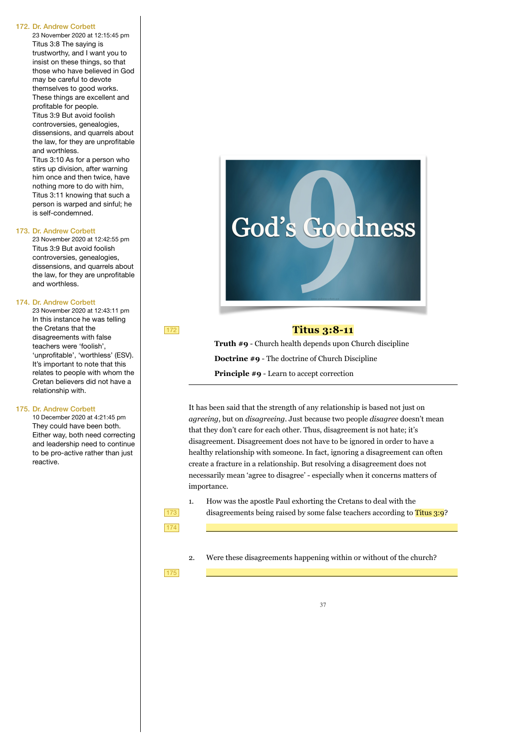23 November 2020 at 12:15:45 pm Titus 3:8 The saying is trustworthy, and I want you to insist on these things, so that those who have believed in God may be careful to devote themselves to good works. These things are excellent and profitable for people. Titus 3:9 But avoid foolish controversies, genealogies, dissensions, and quarrels about the law, for they are unprofitable and worthless.

Titus 3:10 As for a person who stirs up division, after warning him once and then twice, have nothing more to do with him, Titus 3:11 knowing that such a person is warped and sinful; he is self-condemned.

#### 173. Dr. Andrew Corbett

23 November 2020 at 12:42:55 pm Titus 3:9 But avoid foolish controversies, genealogies, dissensions, and quarrels about the law, for they are unprofitable and worthless.

#### 174. Dr. Andrew Corbett

23 November 2020 at 12:43:11 pm In this instance he was telling the Cretans that the disagreements with false teachers were 'foolish', 'unprofitable', 'worthless' (ESV). It's important to note that this relates to people with whom the Cretan believers did not have a relationship with.

172

173 174

175

### 175. Dr. Andrew Corbett

10 December 2020 at 4:21:45 pm They could have been both. Either way, both need correcting and leadership need to continue to be pro-active rather than just reactive.



## **Titus 3:8-11**

**Truth #9** - Church health depends upon Church discipline **Doctrine #9** - The doctrine of Church Discipline **Principle #9** - Learn to accept correction

It has been said that the strength of any relationship is based not just on *agreeing*, but on *disagreeing*. Just because two people *disagree* doesn't mean that they don't care for each other. Thus, disagreement is not hate; it's disagreement. Disagreement does not have to be ignored in order to have a healthy relationship with someone. In fact, ignoring a disagreement can often create a fracture in a relationship. But resolving a disagreement does not necessarily mean 'agree to disagree' - especially when it concerns matters of importance.

- 1. How was the apostle Paul exhorting the Cretans to deal with the disagreements being raised by some false teachers according to Titus 3:9?
- 2. Were these disagreements happening within or without of the church?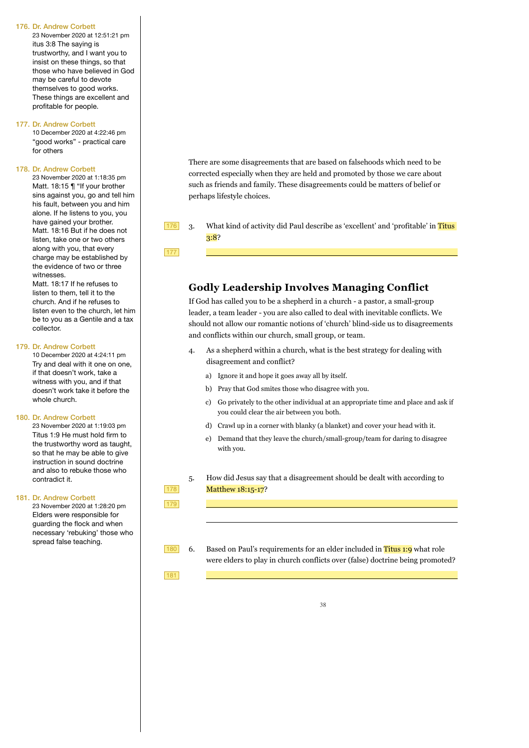23 November 2020 at 12:51:21 pm itus 3:8 The saying is trustworthy, and I want you to insist on these things, so that those who have believed in God may be careful to devote themselves to good works. These things are excellent and profitable for people.

## 177. Dr. Andrew Corbett

10 December 2020 at 4:22:46 pm "good works" - practical care for others

## 178. Dr. Andrew Corbett

23 November 2020 at 1:18:35 pm Matt. 18:15 | "If your brother sins against you, go and tell him his fault, between you and him alone. If he listens to you, you have gained your brother. Matt. 18:16 But if he does not listen, take one or two others along with you, that every charge may be established by the evidence of two or three witnesses.

Matt. 18:17 If he refuses to listen to them, tell it to the church. And if he refuses to listen even to the church, let him be to you as a Gentile and a tax collector.

## 179. Dr. Andrew Corbett

10 December 2020 at 4:24:11 pm Try and deal with it one on one, if that doesn't work, take a witness with you, and if that doesn't work take it before the whole church.

### 180. Dr. Andrew Corbett

23 November 2020 at 1:19:03 pm Titus 1:9 He must hold firm to the trustworthy word as taught, so that he may be able to give instruction in sound doctrine and also to rebuke those who contradict it.

#### 181. Dr. Andrew Corbett

23 November 2020 at 1:28:20 pm Elders were responsible for guarding the flock and when necessary 'rebuking' those who spread false teaching.

There are some disagreements that are based on falsehoods which need to be corrected especially when they are held and promoted by those we care about such as friends and family. These disagreements could be matters of belief or perhaps lifestyle choices.

3. What kind of activity did Paul describe as 'excellent' and 'profitable' in Titus 3:8? 176

177

# **Godly Leadership Involves Managing Conflict**

If God has called you to be a shepherd in a church - a pastor, a small-group leader, a team leader - you are also called to deal with inevitable conflicts. We should not allow our romantic notions of 'church' blind-side us to disagreements and conflicts within our church, small group, or team.

- 4. As a shepherd within a church, what is the best strategy for dealing with disagreement and conflict?
	- a) Ignore it and hope it goes away all by itself.
	- b) Pray that God smites those who disagree with you.
	- c) Go privately to the other individual at an appropriate time and place and ask if you could clear the air between you both.
	- d) Crawl up in a corner with blanky (a blanket) and cover your head with it.
	- e) Demand that they leave the church/small-group/team for daring to disagree with you.
- 5. How did Jesus say that a disagreement should be dealt with according to Matthew 18:15-17?
- 6. Based on Paul's requirements for an elder included in Titus 1:9 what role were elders to play in church conflicts over (false) doctrine being promoted? 180

181

178 179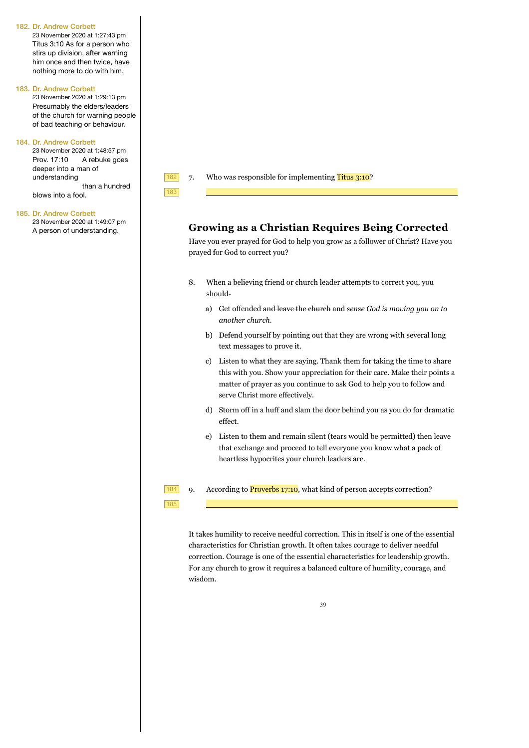23 November 2020 at 1:27:43 pm Titus 3:10 As for a person who stirs up division, after warning him once and then twice, have nothing more to do with him,

#### 183. Dr. Andrew Corbett

23 November 2020 at 1:29:13 pm Presumably the elders/leaders of the church for warning people of bad teaching or behaviour.

## 184. Dr. Andrew Corbett

23 November 2020 at 1:48:57 pm Prov. 17:10 A rebuke goes deeper into a man of understanding

 than a hundred blows into a fool.

#### 185. Dr. Andrew Corbett

23 November 2020 at 1:49:07 pm A person of understanding.



183

185

7. Who was responsible for implementing Titus 3:10?

# **Growing as a Christian Requires Being Corrected**

Have you ever prayed for God to help you grow as a follower of Christ? Have you prayed for God to correct you?

- 8. When a believing friend or church leader attempts to correct you, you should
	- a) Get offended and leave the church and *sense God is moving you on to another church*.
	- b) Defend yourself by pointing out that they are wrong with several long text messages to prove it.
	- c) Listen to what they are saying. Thank them for taking the time to share this with you. Show your appreciation for their care. Make their points a matter of prayer as you continue to ask God to help you to follow and serve Christ more effectively.
	- d) Storm off in a huff and slam the door behind you as you do for dramatic effect.
	- e) Listen to them and remain silent (tears would be permitted) then leave that exchange and proceed to tell everyone you know what a pack of heartless hypocrites your church leaders are.

9. According to **Proverbs 17:10**, what kind of person accepts correction? 184

It takes humility to receive needful correction. This in itself is one of the essential characteristics for Christian growth. It often takes courage to deliver needful correction. Courage is one of the essential characteristics for leadership growth. For any church to grow it requires a balanced culture of humility, courage, and wisdom.